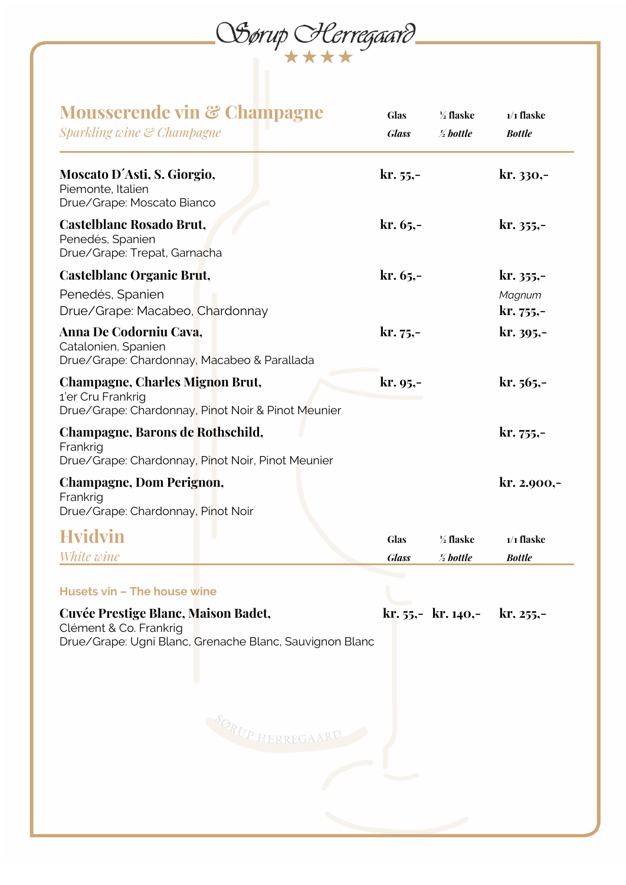

| $kr. 55, -$<br>$kr. 65, -$<br>$kr. 65, -$<br>$kr. 75, -$<br>$kr. 95, -$ |                                              | $kr. 330,-$<br>kr. 355,-<br>$kr. 355,-$<br>Magnum<br>$kr.755,-$<br>kr. 395,-<br>$kr. 565, -$ |
|-------------------------------------------------------------------------|----------------------------------------------|----------------------------------------------------------------------------------------------|
|                                                                         |                                              |                                                                                              |
|                                                                         |                                              |                                                                                              |
|                                                                         |                                              |                                                                                              |
|                                                                         |                                              |                                                                                              |
|                                                                         |                                              |                                                                                              |
|                                                                         |                                              | $kr. 755,-$                                                                                  |
|                                                                         |                                              | $kr. 2.900,-$                                                                                |
| <b>Glas</b><br><b>Glass</b>                                             | $\frac{1}{2}$ flaske<br>$\frac{1}{2}$ bottle | $1/1$ flaske<br><b>Bottle</b>                                                                |
|                                                                         |                                              |                                                                                              |
|                                                                         |                                              |                                                                                              |
|                                                                         |                                              |                                                                                              |
| Drue/Grape: Ugni Blanc, Grenache Blanc, Sauvignon Blanc                 |                                              | $kr. 55, -kr. 140, -kr. 255, -$                                                              |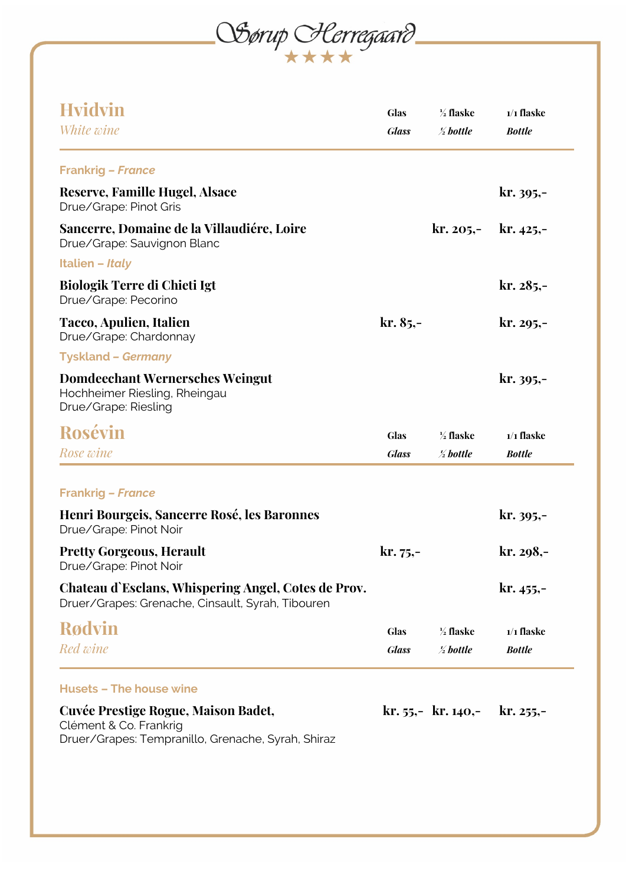OSørup Herregaard

| <b>Hvidvin</b><br>White wine                                                                                        | <b>Glas</b><br><b>Glass</b> | $\frac{1}{2}$ flaske<br>$\frac{1}{2}$ bottle | $1/1$ flaske<br><b>Bottle</b> |
|---------------------------------------------------------------------------------------------------------------------|-----------------------------|----------------------------------------------|-------------------------------|
| <b>Frankrig - France</b>                                                                                            |                             |                                              |                               |
| <b>Reserve, Famille Hugel, Alsace</b><br>Drue/Grape: Pinot Gris                                                     |                             |                                              | $kr. 395, -$                  |
| Sancerre, Domaine de la Villaudiére, Loire<br>Drue/Grape: Sauvignon Blanc                                           |                             | kr. 205,-                                    | $kr. 425 -$                   |
| <b>Italien - Italy</b>                                                                                              |                             |                                              |                               |
| Biologik Terre di Chieti Igt<br>Drue/Grape: Pecorino                                                                |                             |                                              | $kr. 285, -$                  |
| Tacco, Apulien, Italien<br>Drue/Grape: Chardonnay                                                                   | $kr. 85, -$                 |                                              | $kr. 295, -$                  |
| <b>Tyskland - Germany</b>                                                                                           |                             |                                              |                               |
| <b>Domdeechant Wernersches Weingut</b><br>Hochheimer Riesling, Rheingau<br>Drue/Grape: Riesling                     |                             |                                              | $kr. 395,-$                   |
| Rosévin                                                                                                             | <b>Glas</b>                 | $\frac{1}{2}$ flaske                         | $1/1$ flaske                  |
| Rose wine                                                                                                           | <b>Glass</b>                | $\frac{1}{2}$ bottle                         | <b>Bottle</b>                 |
|                                                                                                                     |                             |                                              |                               |
| <b>Frankrig - France</b>                                                                                            |                             |                                              |                               |
| Henri Bourgeis, Sancerre Rosé, les Baronnes<br>Drue/Grape: Pinot Noir                                               |                             |                                              | $kr. 395, -$                  |
| <b>Pretty Gorgeous, Herault</b><br>Drue/Grape: Pinot Noir                                                           | $kr. 75, -$                 |                                              | kr. 298,-                     |
| Chateau d'Esclans, Whispering Angel, Cotes de Prov.<br>Druer/Grapes: Grenache, Cinsault, Syrah, Tibouren            |                             |                                              | $kr. 455, -$                  |
| <b>Rødvin</b>                                                                                                       | <b>Glas</b>                 | $\frac{1}{2}$ flaske                         | $1/1$ flaske                  |
| Red wine                                                                                                            | <b>Glass</b>                | $\frac{1}{2}$ bottle                         | <b>Bottle</b>                 |
| <b>Husets - The house wine</b>                                                                                      |                             |                                              |                               |
| Cuvée Prestige Rogue, Maison Badet,<br>Clément & Co. Frankrig<br>Druer/Grapes: Tempranillo, Grenache, Syrah, Shiraz |                             | $kr. 55, -kr. 140, -$                        | $kr. 255, -$                  |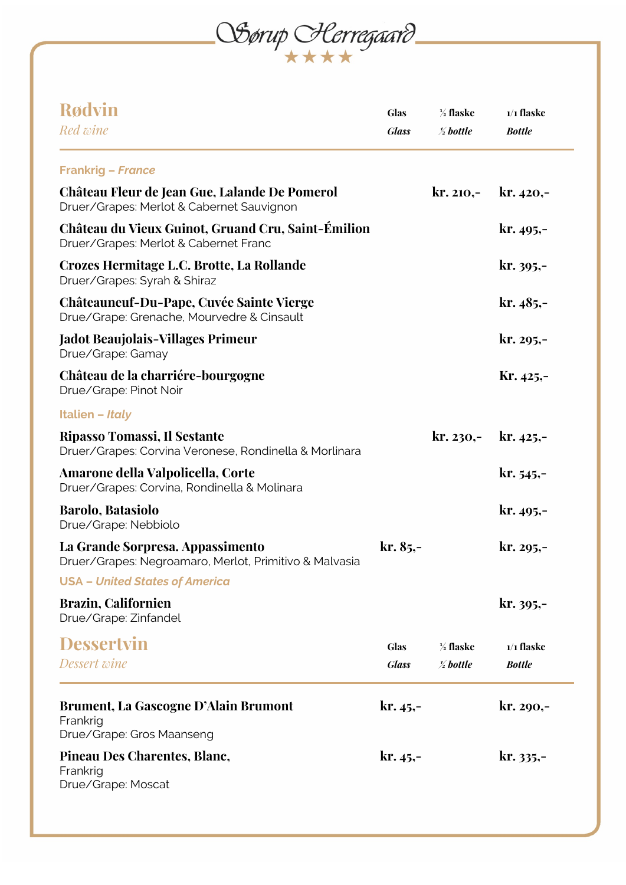OGerup Herregaard

| <b>Rødvin</b><br>Red wine                                                                         | <b>Glas</b><br><b>Glass</b> | $\frac{1}{2}$ flaske<br>$\frac{1}{2}$ bottle | $1/1$ flaske<br><b>Bottle</b> |
|---------------------------------------------------------------------------------------------------|-----------------------------|----------------------------------------------|-------------------------------|
| <b>Frankrig - France</b>                                                                          |                             |                                              |                               |
| <b>Château Fleur de Jean Gue, Lalande De Pomerol</b><br>Druer/Grapes: Merlot & Cabernet Sauvignon |                             | $kr. 210,-$                                  | $kr.420,-$                    |
| Château du Vieux Guinot, Gruand Cru, Saint-Émilion<br>Druer/Grapes: Merlot & Cabernet Franc       |                             |                                              | $kr. 495, -$                  |
| Crozes Hermitage L.C. Brotte, La Rollande<br>Druer/Grapes: Syrah & Shiraz                         |                             |                                              | $kr. 395, -$                  |
| <b>Châteauneuf-Du-Pape, Cuvée Sainte Vierge</b><br>Drue/Grape: Grenache, Mourvedre & Cinsault     |                             |                                              | $kr.485,-$                    |
| <b>Jadot Beaujolais-Villages Primeur</b><br>Drue/Grape: Gamay                                     |                             |                                              | $kr. 295, -$                  |
| Château de la charriére-bourgogne<br>Drue/Grape: Pinot Noir                                       |                             |                                              | $Kr.425,-$                    |
| <b>Italien - Italy</b>                                                                            |                             |                                              |                               |
| Ripasso Tomassi, Il Sestante<br>Druer/Grapes: Corvina Veronese, Rondinella & Morlinara            |                             | kr. 230,-                                    | $kr. 425 -$                   |
| Amarone della Valpolicella, Corte<br>Druer/Grapes: Corvina, Rondinella & Molinara                 |                             |                                              | $kr. 545 -$                   |
| <b>Barolo, Batasiolo</b><br>Drue/Grape: Nebbiolo                                                  |                             |                                              | $kr. 495, -$                  |
| La Grande Sorpresa. Appassimento<br>Druer/Grapes: Negroamaro, Merlot, Primitivo & Malvasia        | $kr. 85, -$                 |                                              | kr. 295,-                     |
| <b>USA - United States of America</b>                                                             |                             |                                              |                               |
| <b>Brazin, Californien</b><br>Drue/Grape: Zinfandel                                               |                             |                                              | $kr. 395,-$                   |
| <b>Dessertvin</b><br>Dessert wine                                                                 | <b>Glas</b><br><b>Glass</b> | $\frac{1}{2}$ flaske<br>$\frac{1}{2}$ bottle | $1/1$ flaske<br><b>Bottle</b> |
| <b>Brument, La Gascogne D'Alain Brumont</b><br>Frankrig<br>Drue/Grape: Gros Maanseng              | $kr. 45, -$                 |                                              | $kr. 290, -$                  |
| Pineau Des Charentes, Blanc,<br>Frankrig<br>Drue/Grape: Moscat                                    | $kr. 45, -$                 |                                              | $kr. 335,-$                   |